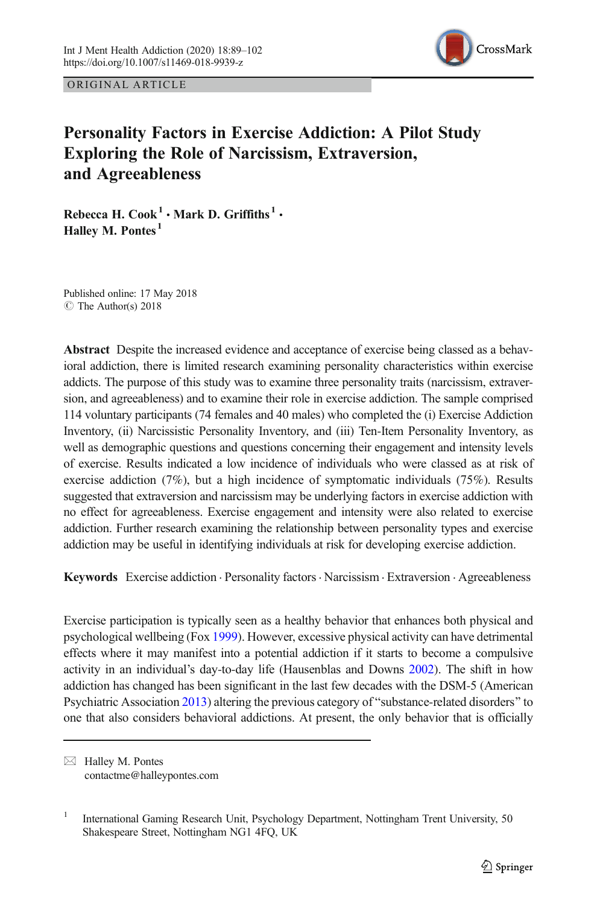

ORIGINAL ARTICLE

# Personality Factors in Exercise Addiction: A Pilot Study Exploring the Role of Narcissism, Extraversion, and Agreeableness

Rebecca H. Cook<sup>1</sup>  $\cdot$  Mark D. Griffiths<sup>1</sup>  $\cdot$ Halley M. Pontes<sup>1</sup>

Published online: 17 May 2018  $\circ$  The Author(s) 2018

Abstract Despite the increased evidence and acceptance of exercise being classed as a behavioral addiction, there is limited research examining personality characteristics within exercise addicts. The purpose of this study was to examine three personality traits (narcissism, extraversion, and agreeableness) and to examine their role in exercise addiction. The sample comprised 114 voluntary participants (74 females and 40 males) who completed the (i) Exercise Addiction Inventory, (ii) Narcissistic Personality Inventory, and (iii) Ten-Item Personality Inventory, as well as demographic questions and questions concerning their engagement and intensity levels of exercise. Results indicated a low incidence of individuals who were classed as at risk of exercise addiction (7%), but a high incidence of symptomatic individuals (75%). Results suggested that extraversion and narcissism may be underlying factors in exercise addiction with no effect for agreeableness. Exercise engagement and intensity were also related to exercise addiction. Further research examining the relationship between personality types and exercise addiction may be useful in identifying individuals at risk for developing exercise addiction.

Keywords Exercise addiction · Personality factors · Narcissism · Extraversion · Agreeableness

Exercise participation is typically seen as a healthy behavior that enhances both physical and psychological wellbeing (Fox [1999\)](#page-12-0). However, excessive physical activity can have detrimental effects where it may manifest into a potential addiction if it starts to become a compulsive activity in an individual's day-to-day life (Hausenblas and Downs [2002\)](#page-12-0). The shift in how addiction has changed has been significant in the last few decades with the DSM-5 (American Psychiatric Association [2013\)](#page-11-0) altering the previous category of "substance-related disorders" to one that also considers behavioral addictions. At present, the only behavior that is officially

 $\boxtimes$  Halley M. Pontes [contactme@halleypontes.com](mailto:contactme@halleypontes.com)

<sup>&</sup>lt;sup>1</sup> International Gaming Research Unit, Psychology Department, Nottingham Trent University, 50 Shakespeare Street, Nottingham NG1 4FQ, UK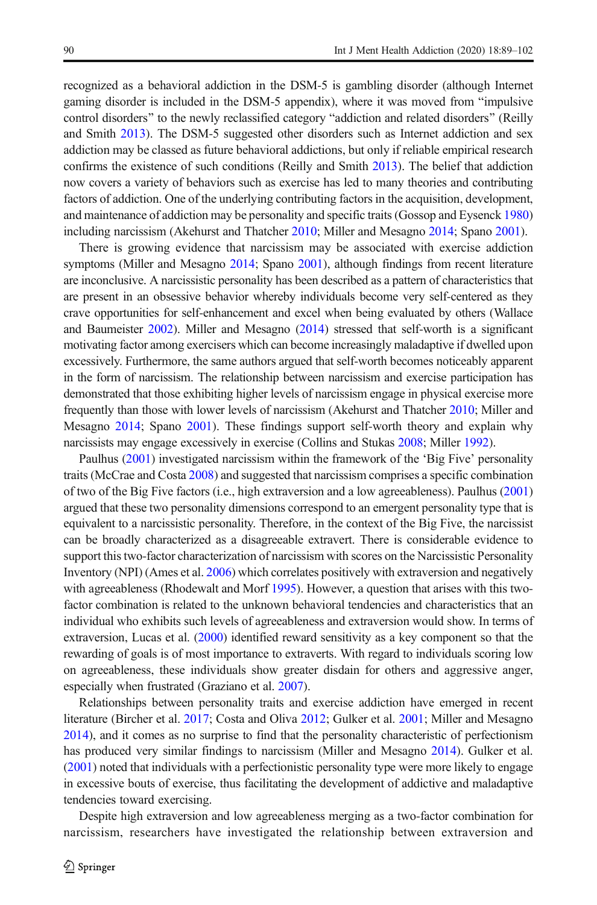recognized as a behavioral addiction in the DSM-5 is gambling disorder (although Internet gaming disorder is included in the DSM-5 appendix), where it was moved from "impulsive control disorders" to the newly reclassified category "addiction and related disorders" (Reilly and Smith [2013](#page-13-0)). The DSM-5 suggested other disorders such as Internet addiction and sex addiction may be classed as future behavioral addictions, but only if reliable empirical research confirms the existence of such conditions (Reilly and Smith [2013\)](#page-13-0). The belief that addiction now covers a variety of behaviors such as exercise has led to many theories and contributing factors of addiction. One of the underlying contributing factors in the acquisition, development, and maintenance of addiction may be personality and specific traits (Gossop and Eysenck [1980\)](#page-12-0) including narcissism (Akehurst and Thatcher [2010](#page-11-0); Miller and Mesagno [2014](#page-12-0); Spano [2001](#page-13-0)).

There is growing evidence that narcissism may be associated with exercise addiction symptoms (Miller and Mesagno [2014;](#page-12-0) Spano [2001\)](#page-13-0), although findings from recent literature are inconclusive. A narcissistic personality has been described as a pattern of characteristics that are present in an obsessive behavior whereby individuals become very self-centered as they crave opportunities for self-enhancement and excel when being evaluated by others (Wallace and Baumeister [2002\)](#page-13-0). Miller and Mesagno ([2014\)](#page-12-0) stressed that self-worth is a significant motivating factor among exercisers which can become increasingly maladaptive if dwelled upon excessively. Furthermore, the same authors argued that self-worth becomes noticeably apparent in the form of narcissism. The relationship between narcissism and exercise participation has demonstrated that those exhibiting higher levels of narcissism engage in physical exercise more frequently than those with lower levels of narcissism (Akehurst and Thatcher [2010](#page-11-0); Miller and Mesagno [2014;](#page-12-0) Spano [2001](#page-13-0)). These findings support self-worth theory and explain why narcissists may engage excessively in exercise (Collins and Stukas [2008;](#page-11-0) Miller [1992\)](#page-12-0).

Paulhus ([2001](#page-13-0)) investigated narcissism within the framework of the 'Big Five' personality traits (McCrae and Costa [2008\)](#page-12-0) and suggested that narcissism comprises a specific combination of two of the Big Five factors (i.e., high extraversion and a low agreeableness). Paulhus [\(2001\)](#page-13-0) argued that these two personality dimensions correspond to an emergent personality type that is equivalent to a narcissistic personality. Therefore, in the context of the Big Five, the narcissist can be broadly characterized as a disagreeable extravert. There is considerable evidence to support this two-factor characterization of narcissism with scores on the Narcissistic Personality Inventory (NPI) (Ames et al. [2006](#page-11-0)) which correlates positively with extraversion and negatively with agreeableness (Rhodewalt and Morf [1995](#page-13-0)). However, a question that arises with this twofactor combination is related to the unknown behavioral tendencies and characteristics that an individual who exhibits such levels of agreeableness and extraversion would show. In terms of extraversion, Lucas et al. ([2000](#page-12-0)) identified reward sensitivity as a key component so that the rewarding of goals is of most importance to extraverts. With regard to individuals scoring low on agreeableness, these individuals show greater disdain for others and aggressive anger, especially when frustrated (Graziano et al. [2007](#page-12-0)).

Relationships between personality traits and exercise addiction have emerged in recent literature (Bircher et al. [2017;](#page-11-0) Costa and Oliva [2012](#page-11-0); Gulker et al. [2001](#page-12-0); Miller and Mesagno [2014](#page-12-0)), and it comes as no surprise to find that the personality characteristic of perfectionism has produced very similar findings to narcissism (Miller and Mesagno [2014](#page-12-0)). Gulker et al. ([2001](#page-12-0)) noted that individuals with a perfectionistic personality type were more likely to engage in excessive bouts of exercise, thus facilitating the development of addictive and maladaptive tendencies toward exercising.

Despite high extraversion and low agreeableness merging as a two-factor combination for narcissism, researchers have investigated the relationship between extraversion and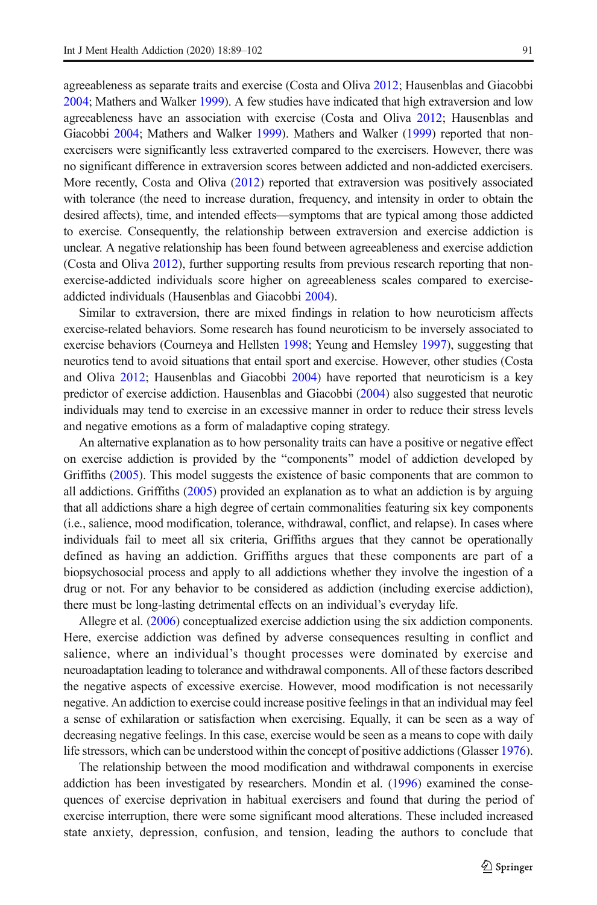agreeableness as separate traits and exercise (Costa and Oliva [2012;](#page-11-0) Hausenblas and Giacobbi [2004](#page-12-0); Mathers and Walker [1999](#page-12-0)). A few studies have indicated that high extraversion and low agreeableness have an association with exercise (Costa and Oliva [2012;](#page-11-0) Hausenblas and Giacobbi [2004;](#page-12-0) Mathers and Walker [1999](#page-12-0)). Mathers and Walker [\(1999\)](#page-12-0) reported that nonexercisers were significantly less extraverted compared to the exercisers. However, there was no significant difference in extraversion scores between addicted and non-addicted exercisers. More recently, Costa and Oliva [\(2012](#page-11-0)) reported that extraversion was positively associated with tolerance (the need to increase duration, frequency, and intensity in order to obtain the desired affects), time, and intended effects—symptoms that are typical among those addicted to exercise. Consequently, the relationship between extraversion and exercise addiction is unclear. A negative relationship has been found between agreeableness and exercise addiction (Costa and Oliva [2012](#page-11-0)), further supporting results from previous research reporting that nonexercise-addicted individuals score higher on agreeableness scales compared to exerciseaddicted individuals (Hausenblas and Giacobbi [2004](#page-12-0)).

Similar to extraversion, there are mixed findings in relation to how neuroticism affects exercise-related behaviors. Some research has found neuroticism to be inversely associated to exercise behaviors (Courneya and Hellsten [1998;](#page-11-0) Yeung and Hemsley [1997\)](#page-13-0), suggesting that neurotics tend to avoid situations that entail sport and exercise. However, other studies (Costa and Oliva [2012](#page-11-0); Hausenblas and Giacobbi [2004](#page-12-0)) have reported that neuroticism is a key predictor of exercise addiction. Hausenblas and Giacobbi [\(2004\)](#page-12-0) also suggested that neurotic individuals may tend to exercise in an excessive manner in order to reduce their stress levels and negative emotions as a form of maladaptive coping strategy.

An alternative explanation as to how personality traits can have a positive or negative effect on exercise addiction is provided by the "components" model of addiction developed by Griffiths ([2005](#page-12-0)). This model suggests the existence of basic components that are common to all addictions. Griffiths [\(2005](#page-12-0)) provided an explanation as to what an addiction is by arguing that all addictions share a high degree of certain commonalities featuring six key components (i.e., salience, mood modification, tolerance, withdrawal, conflict, and relapse). In cases where individuals fail to meet all six criteria, Griffiths argues that they cannot be operationally defined as having an addiction. Griffiths argues that these components are part of a biopsychosocial process and apply to all addictions whether they involve the ingestion of a drug or not. For any behavior to be considered as addiction (including exercise addiction), there must be long-lasting detrimental effects on an individual's everyday life.

Allegre et al. ([2006](#page-11-0)) conceptualized exercise addiction using the six addiction components. Here, exercise addiction was defined by adverse consequences resulting in conflict and salience, where an individual's thought processes were dominated by exercise and neuroadaptation leading to tolerance and withdrawal components. All of these factors described the negative aspects of excessive exercise. However, mood modification is not necessarily negative. An addiction to exercise could increase positive feelings in that an individual may feel a sense of exhilaration or satisfaction when exercising. Equally, it can be seen as a way of decreasing negative feelings. In this case, exercise would be seen as a means to cope with daily life stressors, which can be understood within the concept of positive addictions (Glasser [1976](#page-12-0)).

The relationship between the mood modification and withdrawal components in exercise addiction has been investigated by researchers. Mondin et al. ([1996](#page-12-0)) examined the consequences of exercise deprivation in habitual exercisers and found that during the period of exercise interruption, there were some significant mood alterations. These included increased state anxiety, depression, confusion, and tension, leading the authors to conclude that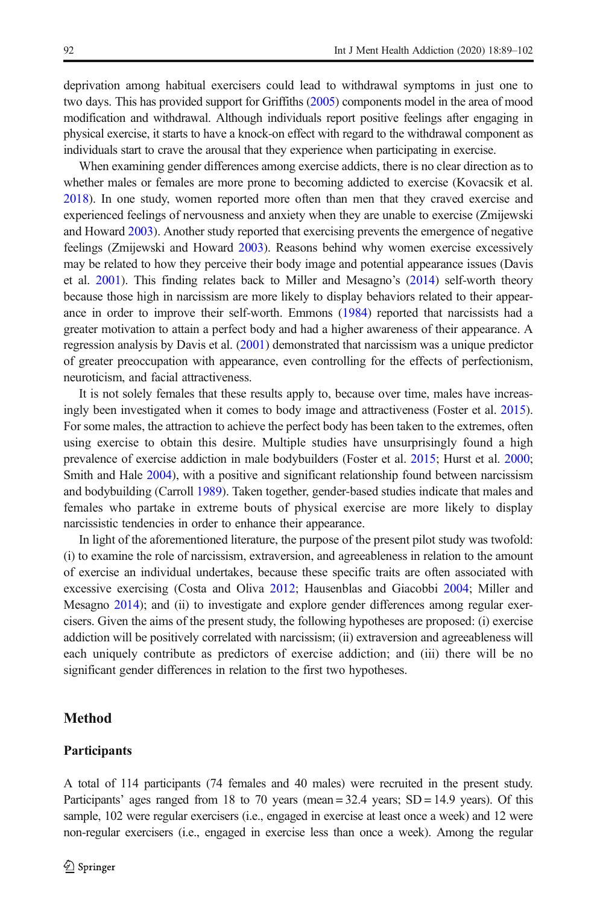deprivation among habitual exercisers could lead to withdrawal symptoms in just one to two days. This has provided support for Griffiths ([2005\)](#page-12-0) components model in the area of mood modification and withdrawal. Although individuals report positive feelings after engaging in physical exercise, it starts to have a knock-on effect with regard to the withdrawal component as individuals start to crave the arousal that they experience when participating in exercise.

When examining gender differences among exercise addicts, there is no clear direction as to whether males or females are more prone to becoming addicted to exercise (Kovacsik et al. [2018](#page-12-0)). In one study, women reported more often than men that they craved exercise and experienced feelings of nervousness and anxiety when they are unable to exercise (Zmijewski and Howard [2003\)](#page-13-0). Another study reported that exercising prevents the emergence of negative feelings (Zmijewski and Howard [2003](#page-13-0)). Reasons behind why women exercise excessively may be related to how they perceive their body image and potential appearance issues (Davis et al. [2001](#page-11-0)). This finding relates back to Miller and Mesagno's ([2014](#page-12-0)) self-worth theory because those high in narcissism are more likely to display behaviors related to their appearance in order to improve their self-worth. Emmons [\(1984\)](#page-11-0) reported that narcissists had a greater motivation to attain a perfect body and had a higher awareness of their appearance. A regression analysis by Davis et al. ([2001](#page-11-0)) demonstrated that narcissism was a unique predictor of greater preoccupation with appearance, even controlling for the effects of perfectionism, neuroticism, and facial attractiveness.

It is not solely females that these results apply to, because over time, males have increasingly been investigated when it comes to body image and attractiveness (Foster et al. [2015](#page-11-0)). For some males, the attraction to achieve the perfect body has been taken to the extremes, often using exercise to obtain this desire. Multiple studies have unsurprisingly found a high prevalence of exercise addiction in male bodybuilders (Foster et al. [2015;](#page-11-0) Hurst et al. [2000](#page-12-0); Smith and Hale [2004\)](#page-13-0), with a positive and significant relationship found between narcissism and bodybuilding (Carroll [1989](#page-11-0)). Taken together, gender-based studies indicate that males and females who partake in extreme bouts of physical exercise are more likely to display narcissistic tendencies in order to enhance their appearance.

In light of the aforementioned literature, the purpose of the present pilot study was twofold: (i) to examine the role of narcissism, extraversion, and agreeableness in relation to the amount of exercise an individual undertakes, because these specific traits are often associated with excessive exercising (Costa and Oliva [2012](#page-11-0); Hausenblas and Giacobbi [2004](#page-12-0); Miller and Mesagno [2014\)](#page-12-0); and (ii) to investigate and explore gender differences among regular exercisers. Given the aims of the present study, the following hypotheses are proposed: (i) exercise addiction will be positively correlated with narcissism; (ii) extraversion and agreeableness will each uniquely contribute as predictors of exercise addiction; and (iii) there will be no significant gender differences in relation to the first two hypotheses.

## Method

#### Participants

A total of 114 participants (74 females and 40 males) were recruited in the present study. Participants' ages ranged from 18 to 70 years (mean  $=$  32.4 years; SD  $=$  14.9 years). Of this sample, 102 were regular exercisers (i.e., engaged in exercise at least once a week) and 12 were non-regular exercisers (i.e., engaged in exercise less than once a week). Among the regular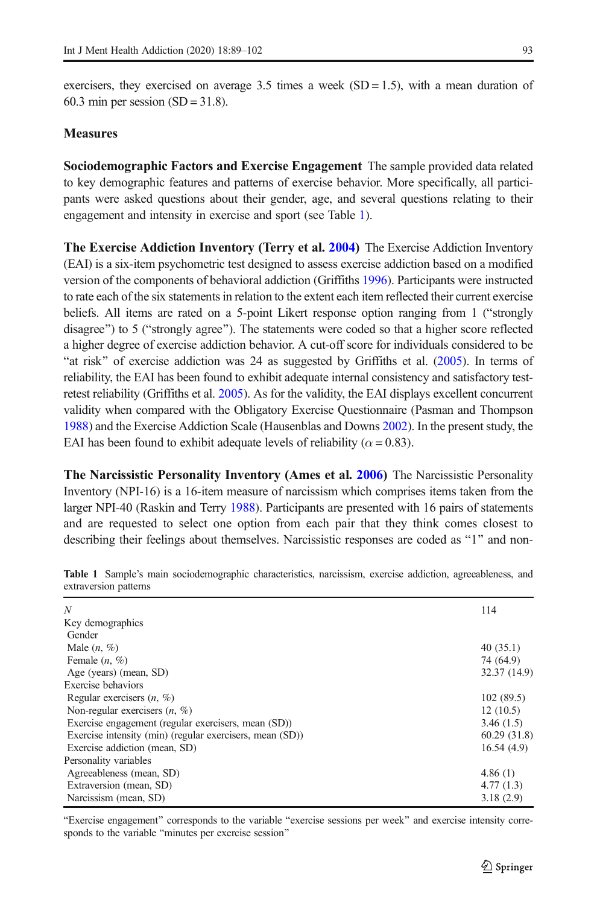<span id="page-4-0"></span>exercisers, they exercised on average  $3.5$  times a week (SD = 1.5), with a mean duration of 60.3 min per session  $(SD = 31.8)$ .

## **Measures**

Sociodemographic Factors and Exercise Engagement The sample provided data related to key demographic features and patterns of exercise behavior. More specifically, all participants were asked questions about their gender, age, and several questions relating to their engagement and intensity in exercise and sport (see Table 1).

The Exercise Addiction Inventory (Terry et al. [2004\)](#page-13-0) The Exercise Addiction Inventory (EAI) is a six-item psychometric test designed to assess exercise addiction based on a modified version of the components of behavioral addiction (Griffiths [1996](#page-12-0)). Participants were instructed to rate each of the six statements in relation to the extent each item reflected their current exercise beliefs. All items are rated on a 5-point Likert response option ranging from  $1$  ("strongly disagree") to 5 ("strongly agree"). The statements were coded so that a higher score reflected a higher degree of exercise addiction behavior. A cut-off score for individuals considered to be "at risk" of exercise addiction was 24 as suggested by Griffiths et al.  $(2005)$  $(2005)$ . In terms of reliability, the EAI has been found to exhibit adequate internal consistency and satisfactory testretest reliability (Griffiths et al. [2005](#page-12-0)). As for the validity, the EAI displays excellent concurrent validity when compared with the Obligatory Exercise Questionnaire (Pasman and Thompson [1988](#page-13-0)) and the Exercise Addiction Scale (Hausenblas and Downs [2002](#page-12-0)). In the present study, the EAI has been found to exhibit adequate levels of reliability ( $\alpha = 0.83$ ).

**The Narcissistic Personality Inventory (Ames et al. [2006](#page-11-0))** The Narcissistic Personality Inventory (NPI-16) is a 16-item measure of narcissism which comprises items taken from the larger NPI-40 (Raskin and Terry [1988\)](#page-13-0). Participants are presented with 16 pairs of statements and are requested to select one option from each pair that they think comes closest to describing their feelings about themselves. Narcissistic responses are coded as "1" and non-

| N                                                        | 114          |
|----------------------------------------------------------|--------------|
| Key demographics                                         |              |
| Gender                                                   |              |
| Male $(n, \%)$                                           | 40(35.1)     |
| Female $(n, \%)$                                         | 74 (64.9)    |
| Age (years) (mean, SD)                                   | 32.37 (14.9) |
| Exercise behaviors                                       |              |
| Regular exercisers $(n, \%)$                             | 102(89.5)    |
| Non-regular exercisers $(n, \%)$                         | 12(10.5)     |
| Exercise engagement (regular exercisers, mean (SD))      | 3.46(1.5)    |
| Exercise intensity (min) (regular exercisers, mean (SD)) | 60.29(31.8)  |
| Exercise addiction (mean, SD)                            | 16.54(4.9)   |
| Personality variables                                    |              |
| Agreeableness (mean, SD)                                 | 4.86(1)      |
| Extraversion (mean, SD)                                  | 4.77(1.3)    |
| Narcissism (mean, SD)                                    | 3.18(2.9)    |

Table 1 Sample's main sociodemographic characteristics, narcissism, exercise addiction, agreeableness, and extraversion patterns

"Exercise engagement" corresponds to the variable "exercise sessions per week" and exercise intensity corresponds to the variable "minutes per exercise session"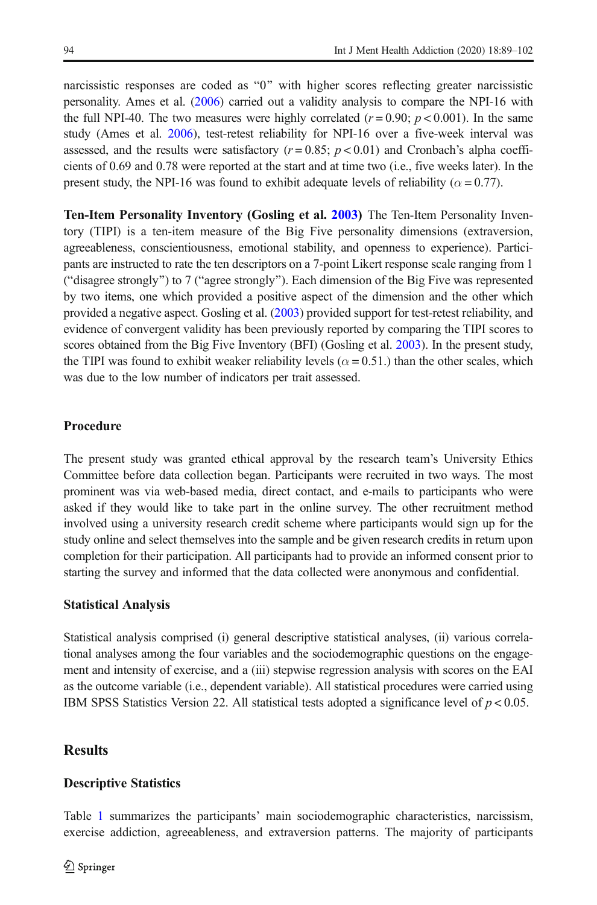narcissistic responses are coded as "0" with higher scores reflecting greater narcissistic personality. Ames et al. [\(2006\)](#page-11-0) carried out a validity analysis to compare the NPI-16 with the full NPI-40. The two measures were highly correlated ( $r = 0.90$ ;  $p < 0.001$ ). In the same study (Ames et al. [2006](#page-11-0)), test-retest reliability for NPI-16 over a five-week interval was assessed, and the results were satisfactory ( $r = 0.85$ ;  $p < 0.01$ ) and Cronbach's alpha coefficients of 0.69 and 0.78 were reported at the start and at time two (i.e., five weeks later). In the present study, the NPI-16 was found to exhibit adequate levels of reliability ( $\alpha = 0.77$ ).

Ten-Item Personality Inventory (Gosling et al. [2003\)](#page-12-0) The Ten-Item Personality Inventory (TIPI) is a ten-item measure of the Big Five personality dimensions (extraversion, agreeableness, conscientiousness, emotional stability, and openness to experience). Participants are instructed to rate the ten descriptors on a 7-point Likert response scale ranging from 1 ("disagree strongly") to 7 ("agree strongly"). Each dimension of the Big Five was represented by two items, one which provided a positive aspect of the dimension and the other which provided a negative aspect. Gosling et al. [\(2003\)](#page-12-0) provided support for test-retest reliability, and evidence of convergent validity has been previously reported by comparing the TIPI scores to scores obtained from the Big Five Inventory (BFI) (Gosling et al. [2003](#page-12-0)). In the present study, the TIPI was found to exhibit weaker reliability levels ( $\alpha$  = 0.51.) than the other scales, which was due to the low number of indicators per trait assessed.

## Procedure

The present study was granted ethical approval by the research team's University Ethics Committee before data collection began. Participants were recruited in two ways. The most prominent was via web-based media, direct contact, and e-mails to participants who were asked if they would like to take part in the online survey. The other recruitment method involved using a university research credit scheme where participants would sign up for the study online and select themselves into the sample and be given research credits in return upon completion for their participation. All participants had to provide an informed consent prior to starting the survey and informed that the data collected were anonymous and confidential.

#### Statistical Analysis

Statistical analysis comprised (i) general descriptive statistical analyses, (ii) various correlational analyses among the four variables and the sociodemographic questions on the engagement and intensity of exercise, and a (iii) stepwise regression analysis with scores on the EAI as the outcome variable (i.e., dependent variable). All statistical procedures were carried using IBM SPSS Statistics Version 22. All statistical tests adopted a significance level of  $p < 0.05$ .

## **Results**

#### Descriptive Statistics

Table [1](#page-4-0) summarizes the participants' main sociodemographic characteristics, narcissism, exercise addiction, agreeableness, and extraversion patterns. The majority of participants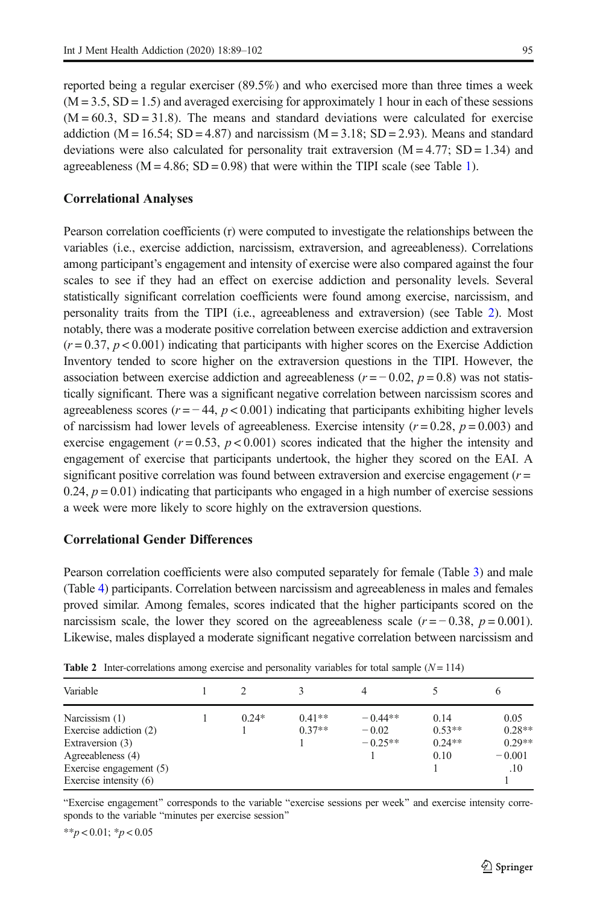reported being a regular exerciser (89.5%) and who exercised more than three times a week  $(M = 3.5, SD = 1.5)$  and averaged exercising for approximately 1 hour in each of these sessions  $(M = 60.3, SD = 31.8)$ . The means and standard deviations were calculated for exercise addiction ( $M = 16.54$ ;  $SD = 4.87$ ) and narcissism ( $M = 3.18$ ;  $SD = 2.93$ ). Means and standard deviations were also calculated for personality trait extraversion  $(M = 4.77; SD = 1.34)$  and agreeableness ( $M = 4.86$ ;  $SD = 0.98$ ) that were within the TIPI scale (see Table [1](#page-4-0)).

#### Correlational Analyses

Pearson correlation coefficients (r) were computed to investigate the relationships between the variables (i.e., exercise addiction, narcissism, extraversion, and agreeableness). Correlations among participant's engagement and intensity of exercise were also compared against the four scales to see if they had an effect on exercise addiction and personality levels. Several statistically significant correlation coefficients were found among exercise, narcissism, and personality traits from the TIPI (i.e., agreeableness and extraversion) (see Table 2). Most notably, there was a moderate positive correlation between exercise addiction and extraversion  $(r = 0.37, p < 0.001)$  indicating that participants with higher scores on the Exercise Addiction Inventory tended to score higher on the extraversion questions in the TIPI. However, the association between exercise addiction and agreeableness ( $r = -0.02$ ,  $p = 0.8$ ) was not statistically significant. There was a significant negative correlation between narcissism scores and agreeableness scores ( $r = -44$ ,  $p < 0.001$ ) indicating that participants exhibiting higher levels of narcissism had lower levels of agreeableness. Exercise intensity ( $r = 0.28$ ,  $p = 0.003$ ) and exercise engagement ( $r = 0.53$ ,  $p < 0.001$ ) scores indicated that the higher the intensity and engagement of exercise that participants undertook, the higher they scored on the EAI. A significant positive correlation was found between extraversion and exercise engagement  $(r =$ 0.24,  $p = 0.01$ ) indicating that participants who engaged in a high number of exercise sessions a week were more likely to score highly on the extraversion questions.

#### Correlational Gender Differences

Pearson correlation coefficients were also computed separately for female (Table [3](#page-7-0)) and male (Table [4\)](#page-7-0) participants. Correlation between narcissism and agreeableness in males and females proved similar. Among females, scores indicated that the higher participants scored on the narcissism scale, the lower they scored on the agreeableness scale  $(r = -0.38, p = 0.001)$ . Likewise, males displayed a moderate significant negative correlation between narcissism and

| Variable                 |         |          | 4         |          | O        |  |
|--------------------------|---------|----------|-----------|----------|----------|--|
| Narcissism (1)           | $0.24*$ | $0.41**$ | $-0.44**$ | 0.14     | 0.05     |  |
| Exercise addiction (2)   |         | $0.37**$ | $-0.02$   | $0.53**$ | $0.28**$ |  |
| Extraversion (3)         |         |          | $-0.25**$ | $0.24**$ | $0.29**$ |  |
| Agreeableness (4)        |         |          |           | 0.10     | $-0.001$ |  |
| Exercise engagement (5)  |         |          |           |          | .10      |  |
| Exercise intensity $(6)$ |         |          |           |          |          |  |

**Table 2** Inter-correlations among exercise and personality variables for total sample  $(N = 114)$ 

"Exercise engagement" corresponds to the variable "exercise sessions per week" and exercise intensity corresponds to the variable "minutes per exercise session"

\*\*p < 0.01; \*p < 0.05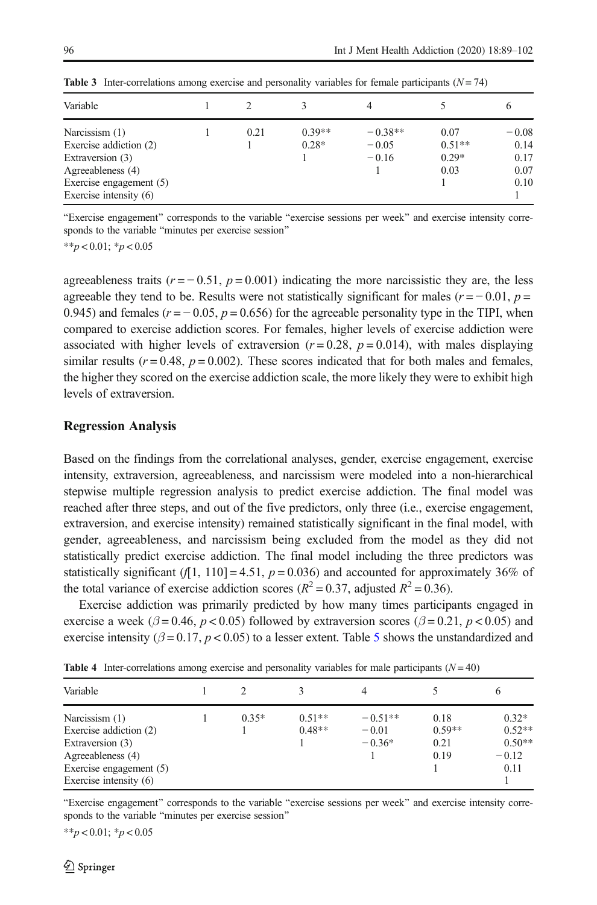| Variable                                                                                                                                 |      |                     | 4                               |                                     |                                         |
|------------------------------------------------------------------------------------------------------------------------------------------|------|---------------------|---------------------------------|-------------------------------------|-----------------------------------------|
| Narcissism (1)<br>Exercise addiction (2)<br>Extraversion (3)<br>Agreeableness (4)<br>Exercise engagement (5)<br>Exercise intensity $(6)$ | 0.21 | $0.39**$<br>$0.28*$ | $-0.38**$<br>$-0.05$<br>$-0.16$ | 0.07<br>$0.51**$<br>$0.29*$<br>0.03 | $-0.08$<br>0.14<br>0.17<br>0.07<br>0.10 |

<span id="page-7-0"></span>**Table 3** Inter-correlations among exercise and personality variables for female participants  $(N = 74)$ 

"Exercise engagement" corresponds to the variable "exercise sessions per week" and exercise intensity corresponds to the variable "minutes per exercise session"

\*\*p < 0.01;  $\frac{*}{p}$  < 0.05

agreeableness traits  $(r = -0.51, p = 0.001)$  indicating the more narcissistic they are, the less agreeable they tend to be. Results were not statistically significant for males ( $r = -0.01$ ,  $p =$ 0.945) and females ( $r = -0.05$ ,  $p = 0.656$ ) for the agreeable personality type in the TIPI, when compared to exercise addiction scores. For females, higher levels of exercise addiction were associated with higher levels of extraversion  $(r=0.28, p=0.014)$ , with males displaying similar results ( $r = 0.48$ ,  $p = 0.002$ ). These scores indicated that for both males and females, the higher they scored on the exercise addiction scale, the more likely they were to exhibit high levels of extraversion.

#### Regression Analysis

Based on the findings from the correlational analyses, gender, exercise engagement, exercise intensity, extraversion, agreeableness, and narcissism were modeled into a non-hierarchical stepwise multiple regression analysis to predict exercise addiction. The final model was reached after three steps, and out of the five predictors, only three (i.e., exercise engagement, extraversion, and exercise intensity) remained statistically significant in the final model, with gender, agreeableness, and narcissism being excluded from the model as they did not statistically predict exercise addiction. The final model including the three predictors was statistically significant (f[1, 110] = 4.51,  $p = 0.036$ ) and accounted for approximately 36% of the total variance of exercise addiction scores ( $R^2 = 0.37$ , adjusted  $R^2 = 0.36$ ).

Exercise addiction was primarily predicted by how many times participants engaged in exercise a week ( $\beta$  = 0.46, p < 0.05) followed by extraversion scores ( $\beta$  = 0.21, p < 0.05) and exercise intensity ( $\beta = 0.17$ ,  $p < 0.05$  $p < 0.05$ ) to a lesser extent. Table 5 shows the unstandardized and

| Variable                 |         |          | 4         |          | O        |  |
|--------------------------|---------|----------|-----------|----------|----------|--|
| Narcissism (1)           | $0.35*$ | $0.51**$ | $-0.51**$ | 0.18     | $0.32*$  |  |
| Exercise addiction (2)   |         | $0.48**$ | $-0.01$   | $0.59**$ | $0.52**$ |  |
| Extraversion (3)         |         |          | $-0.36*$  | 0.21     | $0.50**$ |  |
| Agreeableness (4)        |         |          |           | 0.19     | $-0.12$  |  |
| Exercise engagement (5)  |         |          |           |          | 0.11     |  |
| Exercise intensity $(6)$ |         |          |           |          |          |  |

**Table 4** Inter-correlations among exercise and personality variables for male participants  $(N = 40)$ 

"Exercise engagement" corresponds to the variable "exercise sessions per week" and exercise intensity corresponds to the variable "minutes per exercise session"

\*\*p < 0.01;  $\frac{*}{p}$  < 0.05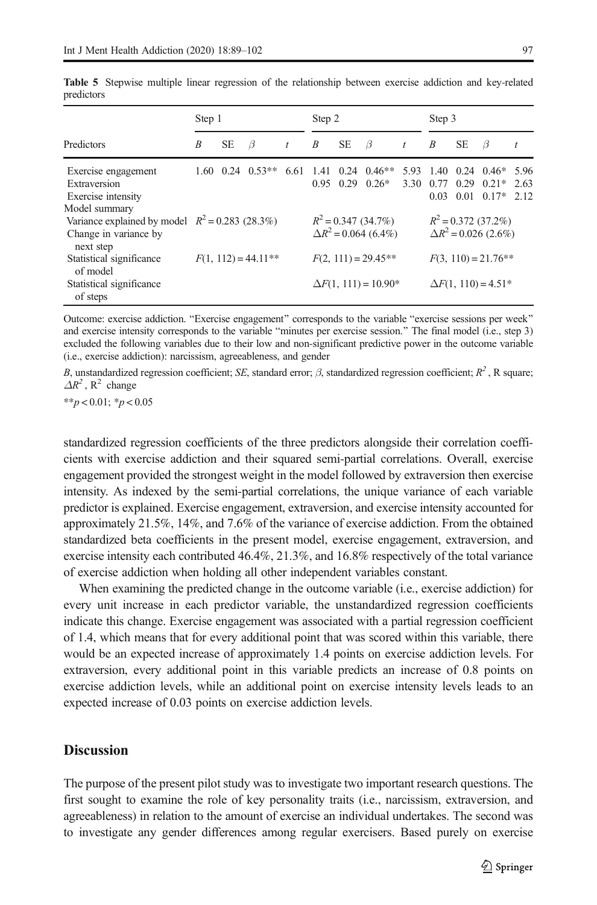|                                                                                         | Step 1                |           |          | Step 2                                                 |                                                      |           |                                | Step 3                                              |                                                      |           |                                                      |              |
|-----------------------------------------------------------------------------------------|-----------------------|-----------|----------|--------------------------------------------------------|------------------------------------------------------|-----------|--------------------------------|-----------------------------------------------------|------------------------------------------------------|-----------|------------------------------------------------------|--------------|
| Predictors                                                                              | B                     | <b>SE</b> | $\beta$  | t                                                      | B                                                    | <b>SE</b> | B                              | t                                                   | B                                                    | <b>SE</b> | $\beta$                                              |              |
| Exercise engagement<br>Extraversion<br>Exercise intensity<br>Model summary              | 1.60                  | 0.24      | $0.53**$ | 6.61                                                   | 1.41<br>0.95                                         | 0.24      | $0.46**$<br>$0.29 \quad 0.26*$ | 5.93<br>3.30                                        | 1.40<br>0.77<br>0.03                                 | 0.01      | $0.24$ $0.46*$ 5.96<br>$0.29 \quad 0.21*$<br>$0.17*$ | 2.63<br>2.12 |
| Variance explained by model $R^2 = 0.283$ (28.3%)<br>Change in variance by<br>next step |                       |           |          |                                                        | $R^2 = 0.347(34.7\%)$<br>$\Delta R^2$ = 0.064 (6.4%) |           |                                |                                                     | $R^2 = 0.372$ (37.2%)<br>$\Delta R^2$ = 0.026 (2.6%) |           |                                                      |              |
| Statistical significance<br>of model<br>Statistical significance<br>of steps            | $F(1, 112) = 44.11**$ |           |          | $F(2, 111) = 29.45***$<br>$\Delta F(1, 111) = 10.90^*$ |                                                      |           |                                | $F(3, 110) = 21.76**$<br>$\Delta F(1, 110) = 4.51*$ |                                                      |           |                                                      |              |

<span id="page-8-0"></span>Table 5 Stepwise multiple linear regression of the relationship between exercise addiction and key-related predictors

Outcome: exercise addiction. "Exercise engagement" corresponds to the variable "exercise sessions per week" and exercise intensity corresponds to the variable "minutes per exercise session." The final model (i.e., step 3) excluded the following variables due to their low and non-significant predictive power in the outcome variable (i.e., exercise addiction): narcissism, agreeableness, and gender

B, unstandardized regression coefficient; SE, standard error;  $\beta$ , standardized regression coefficient;  $R^2$ , R square;  $\Delta R^2$ , R<sup>2</sup> change

 $**p < 0.01$ ;  $*p < 0.05$ 

standardized regression coefficients of the three predictors alongside their correlation coefficients with exercise addiction and their squared semi-partial correlations. Overall, exercise engagement provided the strongest weight in the model followed by extraversion then exercise intensity. As indexed by the semi-partial correlations, the unique variance of each variable predictor is explained. Exercise engagement, extraversion, and exercise intensity accounted for approximately 21.5%, 14%, and 7.6% of the variance of exercise addiction. From the obtained standardized beta coefficients in the present model, exercise engagement, extraversion, and exercise intensity each contributed 46.4%, 21.3%, and 16.8% respectively of the total variance of exercise addiction when holding all other independent variables constant.

When examining the predicted change in the outcome variable (i.e., exercise addiction) for every unit increase in each predictor variable, the unstandardized regression coefficients indicate this change. Exercise engagement was associated with a partial regression coefficient of 1.4, which means that for every additional point that was scored within this variable, there would be an expected increase of approximately 1.4 points on exercise addiction levels. For extraversion, every additional point in this variable predicts an increase of 0.8 points on exercise addiction levels, while an additional point on exercise intensity levels leads to an expected increase of 0.03 points on exercise addiction levels.

## **Discussion**

The purpose of the present pilot study was to investigate two important research questions. The first sought to examine the role of key personality traits (i.e., narcissism, extraversion, and agreeableness) in relation to the amount of exercise an individual undertakes. The second was to investigate any gender differences among regular exercisers. Based purely on exercise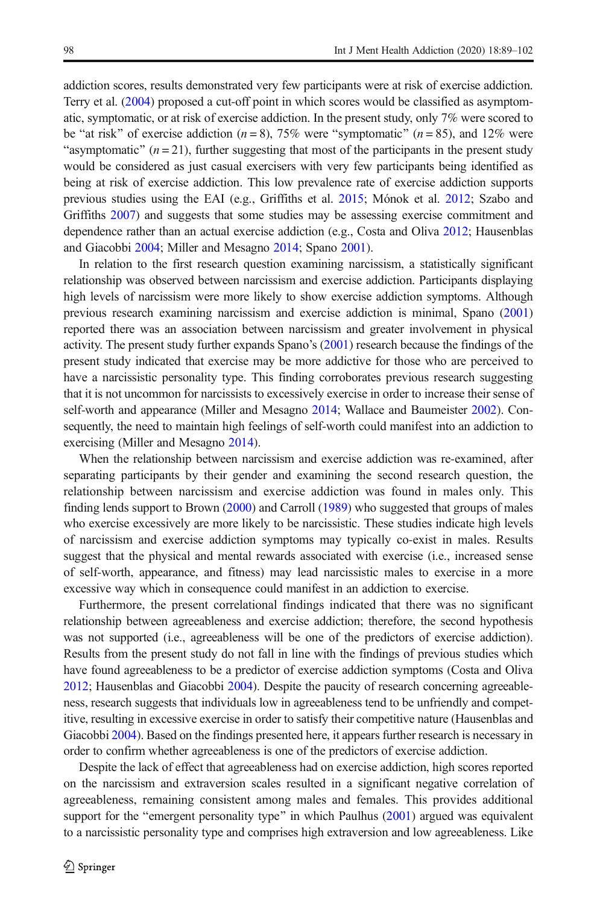addiction scores, results demonstrated very few participants were at risk of exercise addiction. Terry et al. [\(2004\)](#page-13-0) proposed a cut-off point in which scores would be classified as asymptomatic, symptomatic, or at risk of exercise addiction. In the present study, only 7% were scored to be "at risk" of exercise addiction ( $n = 8$ ), 75% were "symptomatic" ( $n = 85$ ), and 12% were "asymptomatic"  $(n = 21)$ , further suggesting that most of the participants in the present study would be considered as just casual exercisers with very few participants being identified as being at risk of exercise addiction. This low prevalence rate of exercise addiction supports previous studies using the EAI (e.g., Griffiths et al. [2015;](#page-12-0) Mónok et al. [2012;](#page-12-0) Szabo and Griffiths [2007\)](#page-13-0) and suggests that some studies may be assessing exercise commitment and dependence rather than an actual exercise addiction (e.g., Costa and Oliva [2012;](#page-11-0) Hausenblas and Giacobbi [2004;](#page-12-0) Miller and Mesagno [2014;](#page-12-0) Spano [2001\)](#page-13-0).

In relation to the first research question examining narcissism, a statistically significant relationship was observed between narcissism and exercise addiction. Participants displaying high levels of narcissism were more likely to show exercise addiction symptoms. Although previous research examining narcissism and exercise addiction is minimal, Spano [\(2001\)](#page-13-0) reported there was an association between narcissism and greater involvement in physical activity. The present study further expands Spano's ([2001](#page-13-0)) research because the findings of the present study indicated that exercise may be more addictive for those who are perceived to have a narcissistic personality type. This finding corroborates previous research suggesting that it is not uncommon for narcissists to excessively exercise in order to increase their sense of self-worth and appearance (Miller and Mesagno [2014](#page-12-0); Wallace and Baumeister [2002\)](#page-13-0). Consequently, the need to maintain high feelings of self-worth could manifest into an addiction to exercising (Miller and Mesagno [2014\)](#page-12-0).

When the relationship between narcissism and exercise addiction was re-examined, after separating participants by their gender and examining the second research question, the relationship between narcissism and exercise addiction was found in males only. This finding lends support to Brown ([2000](#page-11-0)) and Carroll [\(1989\)](#page-11-0) who suggested that groups of males who exercise excessively are more likely to be narcissistic. These studies indicate high levels of narcissism and exercise addiction symptoms may typically co-exist in males. Results suggest that the physical and mental rewards associated with exercise (i.e., increased sense of self-worth, appearance, and fitness) may lead narcissistic males to exercise in a more excessive way which in consequence could manifest in an addiction to exercise.

Furthermore, the present correlational findings indicated that there was no significant relationship between agreeableness and exercise addiction; therefore, the second hypothesis was not supported (i.e., agreeableness will be one of the predictors of exercise addiction). Results from the present study do not fall in line with the findings of previous studies which have found agreeableness to be a predictor of exercise addiction symptoms (Costa and Oliva [2012](#page-11-0); Hausenblas and Giacobbi [2004](#page-12-0)). Despite the paucity of research concerning agreeableness, research suggests that individuals low in agreeableness tend to be unfriendly and competitive, resulting in excessive exercise in order to satisfy their competitive nature (Hausenblas and Giacobbi [2004\)](#page-12-0). Based on the findings presented here, it appears further research is necessary in order to confirm whether agreeableness is one of the predictors of exercise addiction.

Despite the lack of effect that agreeableness had on exercise addiction, high scores reported on the narcissism and extraversion scales resulted in a significant negative correlation of agreeableness, remaining consistent among males and females. This provides additional support for the "emergent personality type" in which Paulhus ([2001](#page-13-0)) argued was equivalent to a narcissistic personality type and comprises high extraversion and low agreeableness. Like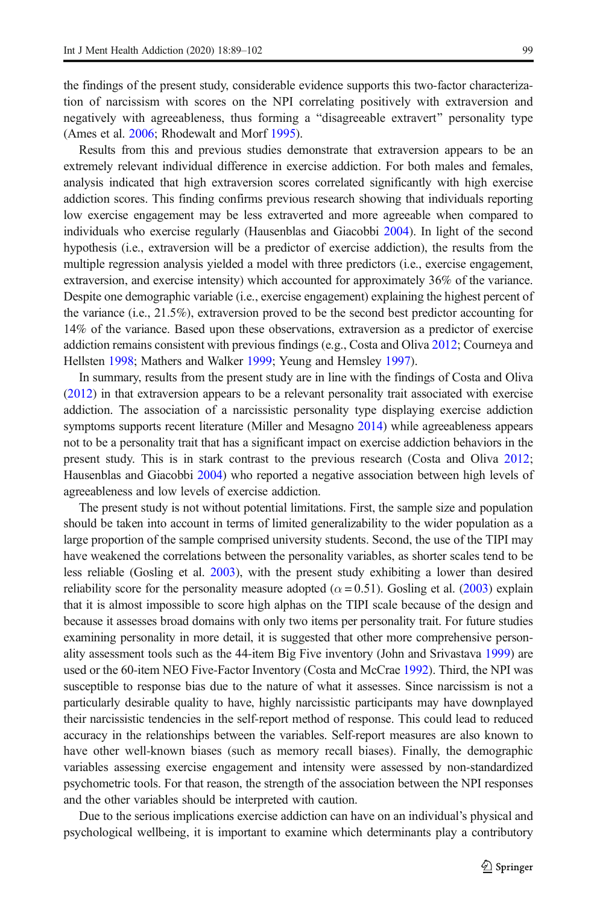the findings of the present study, considerable evidence supports this two-factor characterization of narcissism with scores on the NPI correlating positively with extraversion and negatively with agreeableness, thus forming a "disagreeable extravert" personality type (Ames et al. [2006](#page-11-0); Rhodewalt and Morf [1995\)](#page-13-0).

Results from this and previous studies demonstrate that extraversion appears to be an extremely relevant individual difference in exercise addiction. For both males and females, analysis indicated that high extraversion scores correlated significantly with high exercise addiction scores. This finding confirms previous research showing that individuals reporting low exercise engagement may be less extraverted and more agreeable when compared to individuals who exercise regularly (Hausenblas and Giacobbi [2004](#page-12-0)). In light of the second hypothesis (i.e., extraversion will be a predictor of exercise addiction), the results from the multiple regression analysis yielded a model with three predictors (i.e., exercise engagement, extraversion, and exercise intensity) which accounted for approximately 36% of the variance. Despite one demographic variable (i.e., exercise engagement) explaining the highest percent of the variance (i.e., 21.5%), extraversion proved to be the second best predictor accounting for 14% of the variance. Based upon these observations, extraversion as a predictor of exercise addiction remains consistent with previous findings (e.g., Costa and Oliva [2012;](#page-11-0) Courneya and Hellsten [1998](#page-11-0); Mathers and Walker [1999](#page-12-0); Yeung and Hemsley [1997](#page-13-0)).

In summary, results from the present study are in line with the findings of Costa and Oliva ([2012](#page-11-0)) in that extraversion appears to be a relevant personality trait associated with exercise addiction. The association of a narcissistic personality type displaying exercise addiction symptoms supports recent literature (Miller and Mesagno [2014\)](#page-12-0) while agreeableness appears not to be a personality trait that has a significant impact on exercise addiction behaviors in the present study. This is in stark contrast to the previous research (Costa and Oliva [2012](#page-11-0); Hausenblas and Giacobbi [2004\)](#page-12-0) who reported a negative association between high levels of agreeableness and low levels of exercise addiction.

The present study is not without potential limitations. First, the sample size and population should be taken into account in terms of limited generalizability to the wider population as a large proportion of the sample comprised university students. Second, the use of the TIPI may have weakened the correlations between the personality variables, as shorter scales tend to be less reliable (Gosling et al. [2003](#page-12-0)), with the present study exhibiting a lower than desired reliability score for the personality measure adopted ( $\alpha$  = 0.51). Gosling et al. [\(2003\)](#page-12-0) explain that it is almost impossible to score high alphas on the TIPI scale because of the design and because it assesses broad domains with only two items per personality trait. For future studies examining personality in more detail, it is suggested that other more comprehensive personality assessment tools such as the 44-item Big Five inventory (John and Srivastava [1999\)](#page-12-0) are used or the 60-item NEO Five-Factor Inventory (Costa and McCrae [1992](#page-11-0)). Third, the NPI was susceptible to response bias due to the nature of what it assesses. Since narcissism is not a particularly desirable quality to have, highly narcissistic participants may have downplayed their narcissistic tendencies in the self-report method of response. This could lead to reduced accuracy in the relationships between the variables. Self-report measures are also known to have other well-known biases (such as memory recall biases). Finally, the demographic variables assessing exercise engagement and intensity were assessed by non-standardized psychometric tools. For that reason, the strength of the association between the NPI responses and the other variables should be interpreted with caution.

Due to the serious implications exercise addiction can have on an individual's physical and psychological wellbeing, it is important to examine which determinants play a contributory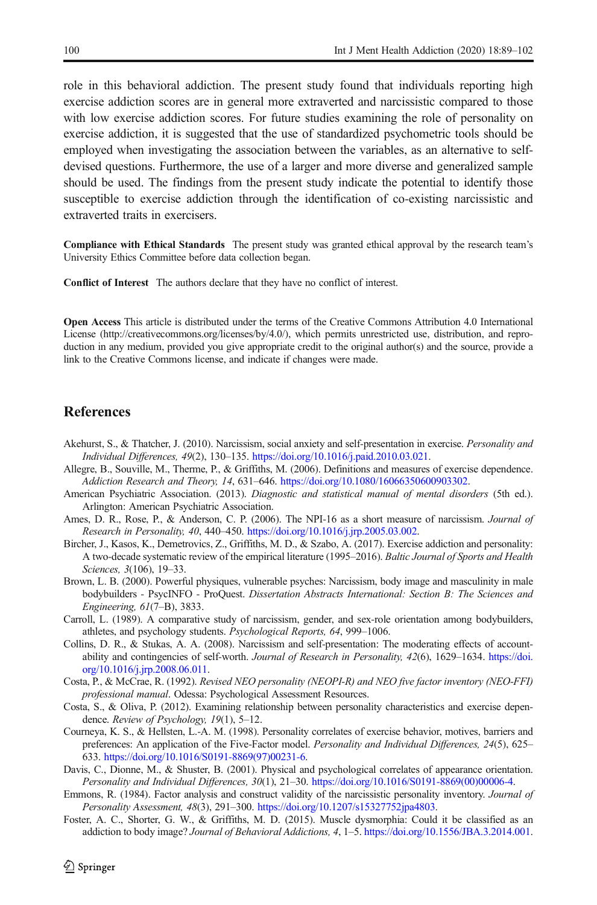<span id="page-11-0"></span>role in this behavioral addiction. The present study found that individuals reporting high exercise addiction scores are in general more extraverted and narcissistic compared to those with low exercise addiction scores. For future studies examining the role of personality on exercise addiction, it is suggested that the use of standardized psychometric tools should be employed when investigating the association between the variables, as an alternative to selfdevised questions. Furthermore, the use of a larger and more diverse and generalized sample should be used. The findings from the present study indicate the potential to identify those susceptible to exercise addiction through the identification of co-existing narcissistic and extraverted traits in exercisers.

Compliance with Ethical Standards The present study was granted ethical approval by the research team's University Ethics Committee before data collection began.

Conflict of Interest The authors declare that they have no conflict of interest.

Open Access This article is distributed under the terms of the Creative Commons Attribution 4.0 International License (http://creativecommons.org/licenses/by/4.0/), which permits unrestricted use, distribution, and reproduction in any medium, provided you give appropriate credit to the original author(s) and the source, provide a link to the Creative Commons license, and indicate if changes were made.

## References

- Akehurst, S., & Thatcher, J. (2010). Narcissism, social anxiety and self-presentation in exercise. Personality and Individual Differences, 49(2), 130–135. <https://doi.org/10.1016/j.paid.2010.03.021>.
- Allegre, B., Souville, M., Therme, P., & Griffiths, M. (2006). Definitions and measures of exercise dependence. Addiction Research and Theory, 14, 631-646. <https://doi.org/10.1080/16066350600903302>.
- American Psychiatric Association. (2013). Diagnostic and statistical manual of mental disorders (5th ed.). Arlington: American Psychiatric Association.
- Ames, D. R., Rose, P., & Anderson, C. P. (2006). The NPI-16 as a short measure of narcissism. Journal of Research in Personality, 40, 440–450. <https://doi.org/10.1016/j.jrp.2005.03.002>.
- Bircher, J., Kasos, K., Demetrovics, Z., Griffiths, M. D., & Szabo, A. (2017). Exercise addiction and personality: A two-decade systematic review of the empirical literature (1995–2016). Baltic Journal of Sports and Health Sciences, 3(106), 19–33.
- Brown, L. B. (2000). Powerful physiques, vulnerable psyches: Narcissism, body image and masculinity in male bodybuilders - PsycINFO - ProQuest. Dissertation Abstracts International: Section B: The Sciences and Engineering, 61(7–B), 3833.
- Carroll, L. (1989). A comparative study of narcissism, gender, and sex-role orientation among bodybuilders, athletes, and psychology students. Psychological Reports, 64, 999–1006.
- Collins, D. R., & Stukas, A. A. (2008). Narcissism and self-presentation: The moderating effects of accountability and contingencies of self-worth. Journal of Research in Personality, 42(6), 1629-1634. [https://doi.](https://doi.org/10.1016/j.jrp.2008.06.011) [org/10.1016/j.jrp.2008.06.011.](https://doi.org/10.1016/j.jrp.2008.06.011)
- Costa, P., & McCrae, R. (1992). Revised NEO personality (NEOPI-R) and NEO five factor inventory (NEO-FFI) professional manual. Odessa: Psychological Assessment Resources.
- Costa, S., & Oliva, P. (2012). Examining relationship between personality characteristics and exercise dependence. Review of Psychology, 19(1), 5-12.
- Courneya, K. S., & Hellsten, L.-A. M. (1998). Personality correlates of exercise behavior, motives, barriers and preferences: An application of the Five-Factor model. Personality and Individual Differences, 24(5), 625– 633. [https://doi.org/10.1016/S0191-8869\(97\)00231-6.](https://doi.org/10.1016/S0191-8869(97)00231-6)
- Davis, C., Dionne, M., & Shuster, B. (2001). Physical and psychological correlates of appearance orientation. Personality and Individual Differences, 30(1), 21–30. [https://doi.org/10.1016/S0191-8869\(00\)00006-4.](https://doi.org/10.1016/S0191-8869(00)00006-4)
- Emmons, R. (1984). Factor analysis and construct validity of the narcissistic personality inventory. Journal of Personality Assessment, 48(3), 291–300. <https://doi.org/10.1207/s15327752jpa4803>.
- Foster, A. C., Shorter, G. W., & Griffiths, M. D. (2015). Muscle dysmorphia: Could it be classified as an addiction to body image? Journal of Behavioral Addictions, 4, 1–5. [https://doi.org/10.1556/JBA.3.2014.001.](https://doi.org/10.1556/JBA.3.2014.001)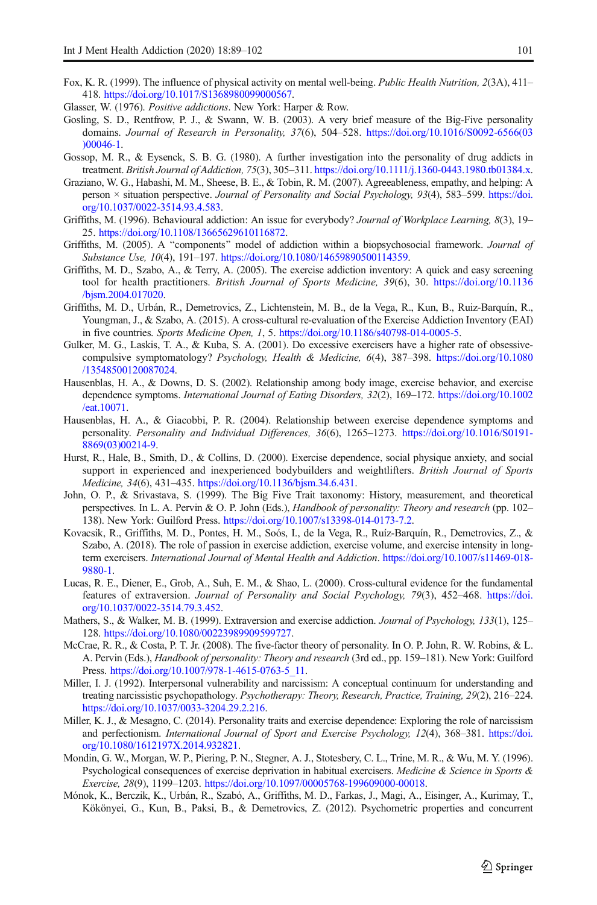- <span id="page-12-0"></span>Fox, K. R. (1999). The influence of physical activity on mental well-being. Public Health Nutrition, 2(3A), 411– 418. [https://doi.org/10.1017/S1368980099000567.](https://doi.org/10.1017/S1368980099000567)
- Glasser, W. (1976). Positive addictions. New York: Harper & Row.
- Gosling, S. D., Rentfrow, P. J., & Swann, W. B. (2003). A very brief measure of the Big-Five personality domains. Journal of Research in Personality, 37(6), 504–528. [https://doi.org/10.1016/S0092-6566\(03](https://doi.org/10.1016/S0092-6566(03)00046-1) [\)00046-1.](https://doi.org/10.1016/S0092-6566(03)00046-1)
- Gossop, M. R., & Eysenck, S. B. G. (1980). A further investigation into the personality of drug addicts in treatment. British Journal of Addiction, 75(3), 305–311. [https://doi.org/10.1111/j.1360-0443.1980.tb01384.x.](https://doi.org/10.1111/j.1360-0443.1980.tb01384.x)
- Graziano, W. G., Habashi, M. M., Sheese, B. E., & Tobin, R. M. (2007). Agreeableness, empathy, and helping: A person × situation perspective. Journal of Personality and Social Psychology, 93(4), 583–599. [https://doi.](https://doi.org/10.1037/0022-3514.93.4.583) [org/10.1037/0022-3514.93.4.583](https://doi.org/10.1037/0022-3514.93.4.583).
- Griffiths, M. (1996). Behavioural addiction: An issue for everybody? Journal of Workplace Learning, 8(3), 19– 25. <https://doi.org/10.1108/13665629610116872>.
- Griffiths, M. (2005). A "components" model of addiction within a biopsychosocial framework. Journal of Substance Use, 10(4), 191–197. <https://doi.org/10.1080/14659890500114359>.
- Griffiths, M. D., Szabo, A., & Terry, A. (2005). The exercise addiction inventory: A quick and easy screening tool for health practitioners. British Journal of Sports Medicine, 39(6), 30. [https://doi.org/10.1136](https://doi.org/10.1136/bjsm.2004.017020) [/bjsm.2004.017020](https://doi.org/10.1136/bjsm.2004.017020).
- Griffiths, M. D., Urbán, R., Demetrovics, Z., Lichtenstein, M. B., de la Vega, R., Kun, B., Ruiz-Barquín, R., Youngman, J., & Szabo, A. (2015). A cross-cultural re-evaluation of the Exercise Addiction Inventory (EAI) in five countries. Sports Medicine Open, 1, 5. <https://doi.org/10.1186/s40798-014-0005-5>.
- Gulker, M. G., Laskis, T. A., & Kuba, S. A. (2001). Do excessive exercisers have a higher rate of obsessivecompulsive symptomatology? Psychology, Health & Medicine, 6(4), 387–398. [https://doi.org/10.1080](https://doi.org/10.1080/13548500120087024) [/13548500120087024.](https://doi.org/10.1080/13548500120087024)
- Hausenblas, H. A., & Downs, D. S. (2002). Relationship among body image, exercise behavior, and exercise dependence symptoms. International Journal of Eating Disorders, 32(2), 169–172. [https://doi.org/10.1002](https://doi.org/10.1002/eat.10071) [/eat.10071.](https://doi.org/10.1002/eat.10071)
- Hausenblas, H. A., & Giacobbi, P. R. (2004). Relationship between exercise dependence symptoms and personality. Personality and Individual Differences, 36(6), 1265–1273. [https://doi.org/10.1016/S0191-](https://doi.org/10.1016/S0191-8869(03)00214-9) [8869\(03\)00214-9.](https://doi.org/10.1016/S0191-8869(03)00214-9)
- Hurst, R., Hale, B., Smith, D., & Collins, D. (2000). Exercise dependence, social physique anxiety, and social support in experienced and inexperienced bodybuilders and weightlifters. British Journal of Sports Medicine, 34(6), 431–435. <https://doi.org/10.1136/bjsm.34.6.431>.
- John, O. P., & Srivastava, S. (1999). The Big Five Trait taxonomy: History, measurement, and theoretical perspectives. In L. A. Pervin & O. P. John (Eds.), Handbook of personality: Theory and research (pp. 102– 138). New York: Guilford Press. <https://doi.org/10.1007/s13398-014-0173-7.2>.
- Kovacsik, R., Griffiths, M. D., Pontes, H. M., Soós, I., de la Vega, R., Ruíz-Barquín, R., Demetrovics, Z., & Szabo, A. (2018). The role of passion in exercise addiction, exercise volume, and exercise intensity in longterm exercisers. International Journal of Mental Health and Addiction. [https://doi.org/10.1007/s11469-018-](https://doi.org/10.1007/s11469-018-9880-1) [9880-1.](https://doi.org/10.1007/s11469-018-9880-1)
- Lucas, R. E., Diener, E., Grob, A., Suh, E. M., & Shao, L. (2000). Cross-cultural evidence for the fundamental features of extraversion. Journal of Personality and Social Psychology, 79(3), 452–468. [https://doi.](https://doi.org/10.1037/0022-3514.79.3.452) [org/10.1037/0022-3514.79.3.452](https://doi.org/10.1037/0022-3514.79.3.452).
- Mathers, S., & Walker, M. B. (1999). Extraversion and exercise addiction. Journal of Psychology, 133(1), 125– 128. [https://doi.org/10.1080/00223989909599727.](https://doi.org/10.1080/00223989909599727)
- McCrae, R. R., & Costa, P. T. Jr. (2008). The five-factor theory of personality. In O. P. John, R. W. Robins, & L. A. Pervin (Eds.), Handbook of personality: Theory and research (3rd ed., pp. 159-181). New York: Guilford Press. [https://doi.org/10.1007/978-1-4615-0763-5\\_11.](https://doi.org/10.1007/978-1-4615-0763-5_11)
- Miller, I. J. (1992). Interpersonal vulnerability and narcissism: A conceptual continuum for understanding and treating narcissistic psychopathology. Psychotherapy: Theory, Research, Practice, Training, 29(2), 216–224. <https://doi.org/10.1037/0033-3204.29.2.216>.
- Miller, K. J., & Mesagno, C. (2014). Personality traits and exercise dependence: Exploring the role of narcissism and perfectionism. International Journal of Sport and Exercise Psychology, 12(4), 368–381. [https://doi.](https://doi.org/10.1080/1612197X.2014.932821) [org/10.1080/1612197X.2014.932821](https://doi.org/10.1080/1612197X.2014.932821).
- Mondin, G. W., Morgan, W. P., Piering, P. N., Stegner, A. J., Stotesbery, C. L., Trine, M. R., & Wu, M. Y. (1996). Psychological consequences of exercise deprivation in habitual exercisers. Medicine & Science in Sports & Exercise, 28(9), 1199–1203. [https://doi.org/10.1097/00005768-199609000-00018.](https://doi.org/10.1097/00005768-199609000-00018)
- Mónok, K., Berczik, K., Urbán, R., Szabó, A., Griffiths, M. D., Farkas, J., Magi, A., Eisinger, A., Kurimay, T., Kökönyei, G., Kun, B., Paksi, B., & Demetrovics, Z. (2012). Psychometric properties and concurrent